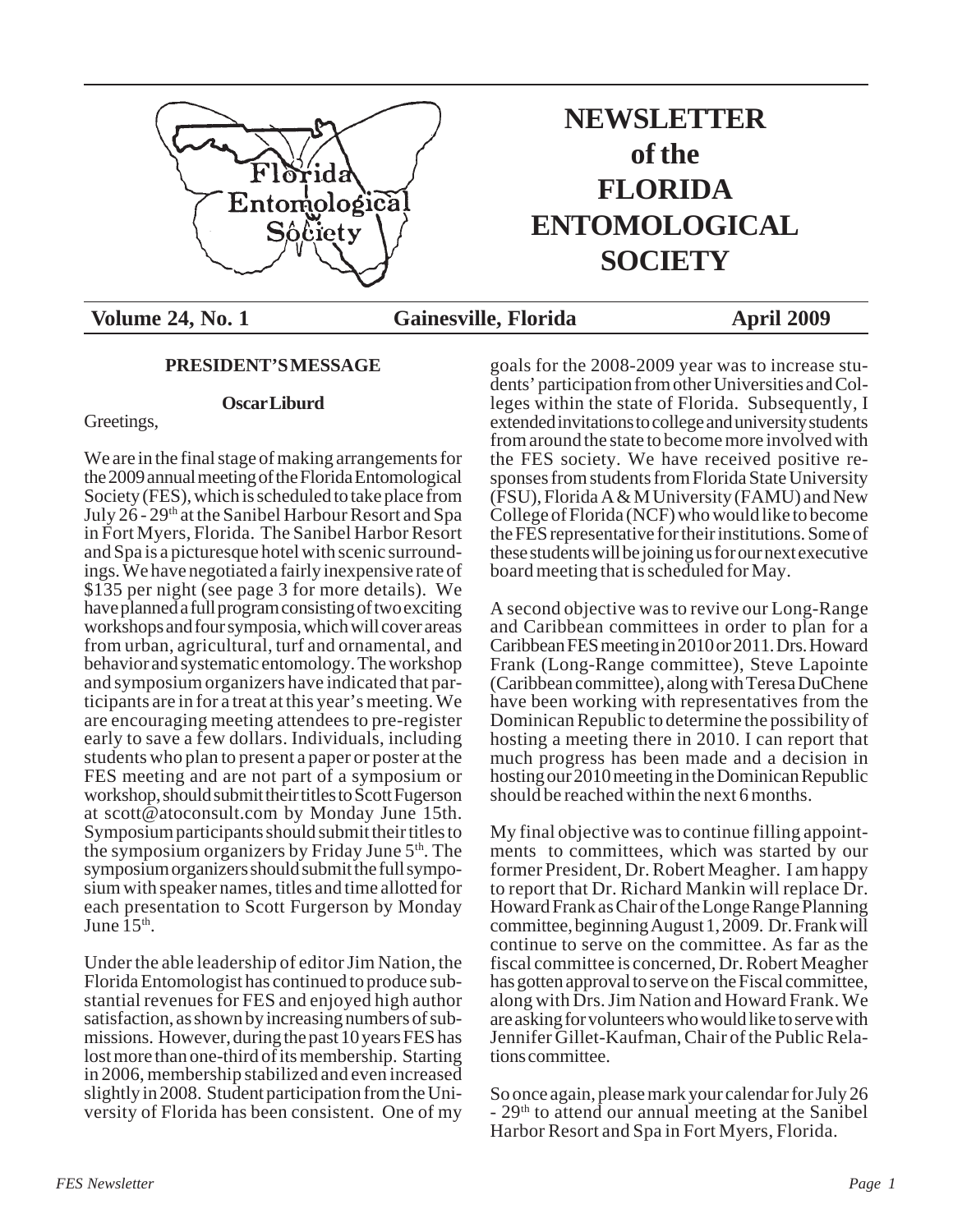

# **NEWSLETTER of the FLORIDA ENTOMOLOGICAL SOCIETY**

Volume 24, No. 1 **Gainesville, Florida** April 2009

# **PRESIDENT'S MESSAGE**

# **Oscar Liburd**

Greetings,

We are in the final stage of making arrangements for the 2009 annual meeting of the Florida Entomological Society (FES), which is scheduled to take place from July 26 - 29th at the Sanibel Harbour Resort and Spa in Fort Myers, Florida. The Sanibel Harbor Resort and Spa is a picturesque hotel with scenic surroundings. We have negotiated a fairly inexpensive rate of \$135 per night (see page 3 for more details). We have planned a full program consisting of two exciting workshops and four symposia, which will cover areas from urban, agricultural, turf and ornamental, and behavior and systematic entomology. The workshop and symposium organizers have indicated that participants are in for a treat at this year's meeting. We are encouraging meeting attendees to pre-register early to save a few dollars. Individuals, including students who plan to present a paper or poster at the FES meeting and are not part of a symposium or workshop, should submit their titles to Scott Fugerson at scott@atoconsult.com by Monday June 15th. Symposium participants should submit their titles to the symposium organizers by Friday June  $5<sup>th</sup>$ . The symposium organizers should submit the full symposium with speaker names, titles and time allotted for each presentation to Scott Furgerson by Monday June  $15<sup>th</sup>$ .

Under the able leadership of editor Jim Nation, the Florida Entomologist has continued to produce substantial revenues for FES and enjoyed high author satisfaction, as shown by increasing numbers of submissions. However, during the past 10 years FES has lost more than one-third of its membership. Starting in 2006, membership stabilized and even increased slightly in 2008. Student participation from the University of Florida has been consistent. One of my

goals for the 2008-2009 year was to increase students' participation from other Universities and Colleges within the state of Florida. Subsequently, I extended invitations to college and university students from around the state to become more involved with the FES society. We have received positive responses from students from Florida State University (FSU), Florida A & M University (FAMU) and New College of Florida (NCF) who would like to become the FES representative for their institutions. Some of these students will be joining us for our next executive board meeting that is scheduled for May.

A second objective was to revive our Long-Range and Caribbean committees in order to plan for a Caribbean FES meeting in 2010 or 2011. Drs. Howard Frank (Long-Range committee), Steve Lapointe (Caribbean committee), along with Teresa DuChene have been working with representatives from the Dominican Republic to determine the possibility of hosting a meeting there in 2010. I can report that much progress has been made and a decision in hosting our 2010 meeting in the Dominican Republic should be reached within the next 6 months.

My final objective was to continue filling appointments to committees, which was started by our former President, Dr. Robert Meagher. I am happy to report that Dr. Richard Mankin will replace Dr. Howard Frank as Chair of the Longe Range Planning committee, beginning August 1, 2009. Dr. Frank will continue to serve on the committee. As far as the fiscal committee is concerned, Dr. Robert Meagher has gotten approval to serve on the Fiscal committee, along with Drs. Jim Nation and Howard Frank. We are asking for volunteers who would like to serve with Jennifer Gillet-Kaufman, Chair of the Public Relations committee.

So once again, please mark your calendar for July 26 - 29th to attend our annual meeting at the Sanibel Harbor Resort and Spa in Fort Myers, Florida.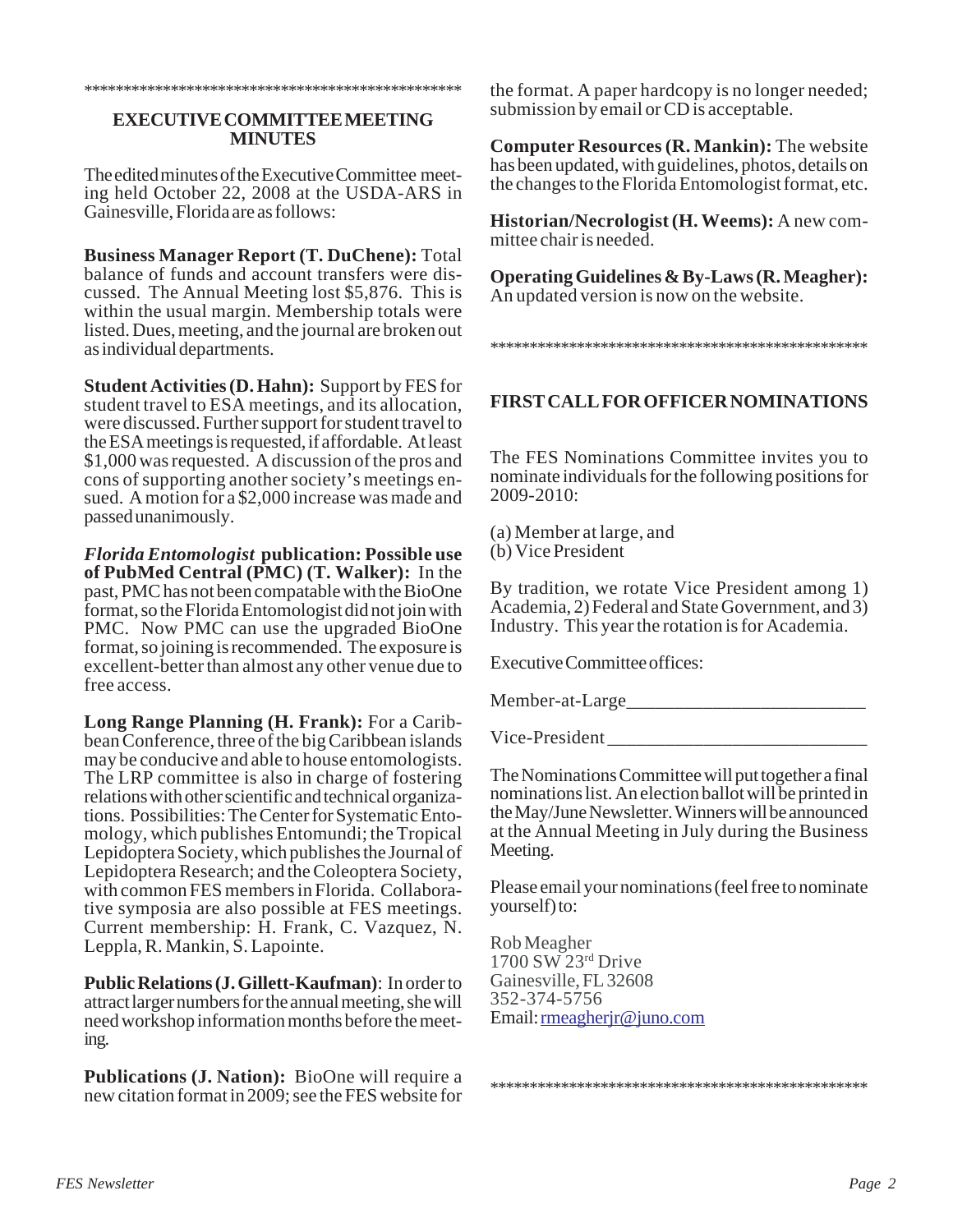#### \*\*\*\*\*\*\*\*\*\*\*\*\*\*\*\*\*\*\*\*\*\*\*\*\*\*\*\*\*\*\*\*\*\*\*\*\*\*\*\*\*\*\*\*\*\*\*\*

## **EXECUTIVE COMMITTEE MEETING MINUTES**

The edited minutes of the Executive Committee meeting held October 22, 2008 at the USDA-ARS in Gainesville, Florida are as follows:

**Business Manager Report (T. DuChene):** Total balance of funds and account transfers were discussed. The Annual Meeting lost \$5,876. This is within the usual margin. Membership totals were listed. Dues, meeting, and the journal are broken out as individual departments.

**Student Activities (D. Hahn):** Support by FES for student travel to ESA meetings, and its allocation, were discussed. Further support for student travel to the ESA meetings is requested, if affordable. At least \$1,000 was requested. A discussion of the pros and cons of supporting another society's meetings ensued. A motion for a \$2,000 increase was made and passed unanimously.

*Florida Entomologist* **publication: Possible use of PubMed Central (PMC) (T. Walker):** In the past, PMC has not been compatable with the BioOne format, so the Florida Entomologist did not join with PMC. Now PMC can use the upgraded BioOne format, so joining is recommended. The exposure is excellent-better than almost any other venue due to free access.

**Long Range Planning (H. Frank):** For a Caribbean Conference, three of the big Caribbean islands may be conducive and able to house entomologists. The LRP committee is also in charge of fostering relations with other scientific and technical organizations. Possibilities: The Center for Systematic Entomology, which publishes Entomundi; the Tropical Lepidoptera Society, which publishes the Journal of Lepidoptera Research; and the Coleoptera Society, with common FES members in Florida. Collaborative symposia are also possible at FES meetings. Current membership: H. Frank, C. Vazquez, N. Leppla, R. Mankin, S. Lapointe.

**Public Relations (J. Gillett-Kaufman)**: In order to attract larger numbers for the annual meeting, she will need workshop information months before the meeting.

**Publications (J. Nation):** BioOne will require a new citation format in 2009; see the FES website for the format. A paper hardcopy is no longer needed; submission by email or CD is acceptable.

**Computer Resources (R. Mankin):** The website has been updated, with guidelines, photos, details on the changes to the Florida Entomologist format, etc.

**Historian/Necrologist (H. Weems):** A new committee chair is needed.

**Operating Guidelines & By-Laws (R. Meagher):** An updated version is now on the website.

#### \*\*\*\*\*\*\*\*\*\*\*\*\*\*\*\*\*\*\*\*\*\*\*\*\*\*\*\*\*\*\*\*\*\*\*\*\*\*\*\*\*\*\*\*\*\*\*\*

# **FIRST CALL FOR OFFICER NOMINATIONS**

The FES Nominations Committee invites you to nominate individuals for the following positions for 2009-2010:

(a) Member at large, and (b) Vice President

By tradition, we rotate Vice President among 1) Academia, 2) Federal and State Government, and 3) Industry. This year the rotation is for Academia.

Executive Committee offices:

Member-at-Large\_\_\_\_\_\_\_\_\_\_\_\_\_\_\_\_\_\_\_\_\_\_\_\_\_

Vice-President \_\_\_\_\_\_\_\_\_\_\_\_\_\_\_\_\_\_\_\_\_\_\_\_\_\_\_

The Nominations Committee will put together a final nominations list. An election ballot will be printed in the May/June Newsletter. Winners will be announced at the Annual Meeting in July during the Business Meeting.

Please email your nominations (feel free to nominate yourself) to:

\*\*\*\*\*\*\*\*\*\*\*\*\*\*\*\*\*\*\*\*\*\*\*\*\*\*\*\*\*\*\*\*\*\*\*\*\*\*\*\*\*\*\*\*\*\*\*\*

Rob Meagher 1700 SW 23rd Drive Gainesville, FL 32608 352-374-5756 Email: rmeagherjr@juno.com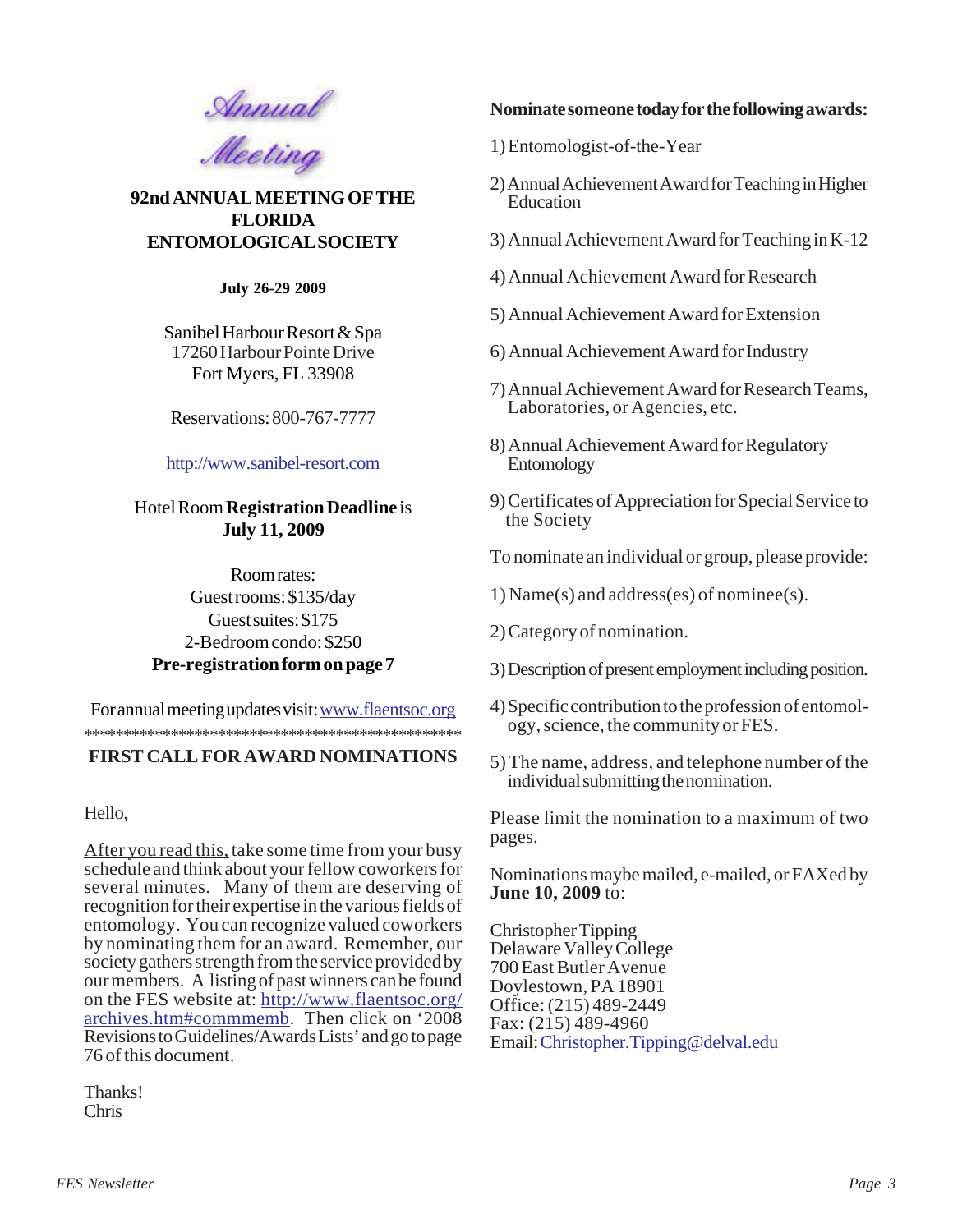

**92nd ANNUAL MEETING OF THE FLORIDA ENTOMOLOGICAL SOCIETY**

**July 26-29 2009**

Sanibel Harbour Resort & Spa 17260 Harbour Pointe Drive Fort Myers, FL 33908

Reservations: 800-767-7777

# http://www.sanibel-resort.com

# Hotel Room **Registration Deadline** is **July 11, 2009**

Room rates: Guest rooms: \$135/day Guest suites: \$175 2-Bedroom condo: \$250 **Pre-registration form on page 7**

\*\*\*\*\*\*\*\*\*\*\*\*\*\*\*\*\*\*\*\*\*\*\*\*\*\*\*\*\*\*\*\*\*\*\*\*\*\*\*\*\*\*\*\*\*\*\*\* For annual meeting updates visit: www.flaentsoc.org

# **FIRST CALL FOR AWARD NOMINATIONS**

Hello,

After you read this, take some time from your busy schedule and think about your fellow coworkers for several minutes. Many of them are deserving of recognition for their expertise in the various fields of entomology. You can recognize valued coworkers by nominating them for an award. Remember, our society gathers strength from the service provided by our members. A listing of past winners can be found on the FES website at: http://www.flaentsoc.org/ archives.htm#commmemb. Then click on '2008 Revisions to Guidelines/Awards Lists' and go to page 76 of this document.

Thanks! Chris

# **Nominate someone today for the following awards:**

- 1) Entomologist-of-the-Year
- 2) Annual Achievement Award for Teaching in Higher Education
- 3) Annual Achievement Award for Teaching in K-12
- 4) Annual Achievement Award for Research
- 5) Annual Achievement Award for Extension
- 6) Annual Achievement Award for Industry
- 7) Annual Achievement Award for Research Teams, Laboratories, or Agencies, etc.
- 8) Annual Achievement Award for Regulatory Entomology
- 9) Certificates of Appreciation for Special Service to the Society

To nominate an individual or group, please provide:

1) Name(s) and address(es) of nominee(s).

- 2) Category of nomination.
- 3) Description of present employment including position.
- 4) Specific contribution to the profession of entomology, science, the community or FES.
- 5) The name, address, and telephone number of the individual submitting the nomination.

Please limit the nomination to a maximum of two pages.

Nominations maybe mailed, e-mailed, or FAXed by **June 10, 2009** to:

Christopher Tipping Delaware Valley College 700 East Butler Avenue Doylestown, PA 18901 Office: (215) 489-2449 Fax: (215) 489-4960 Email: Christopher.Tipping@delval.edu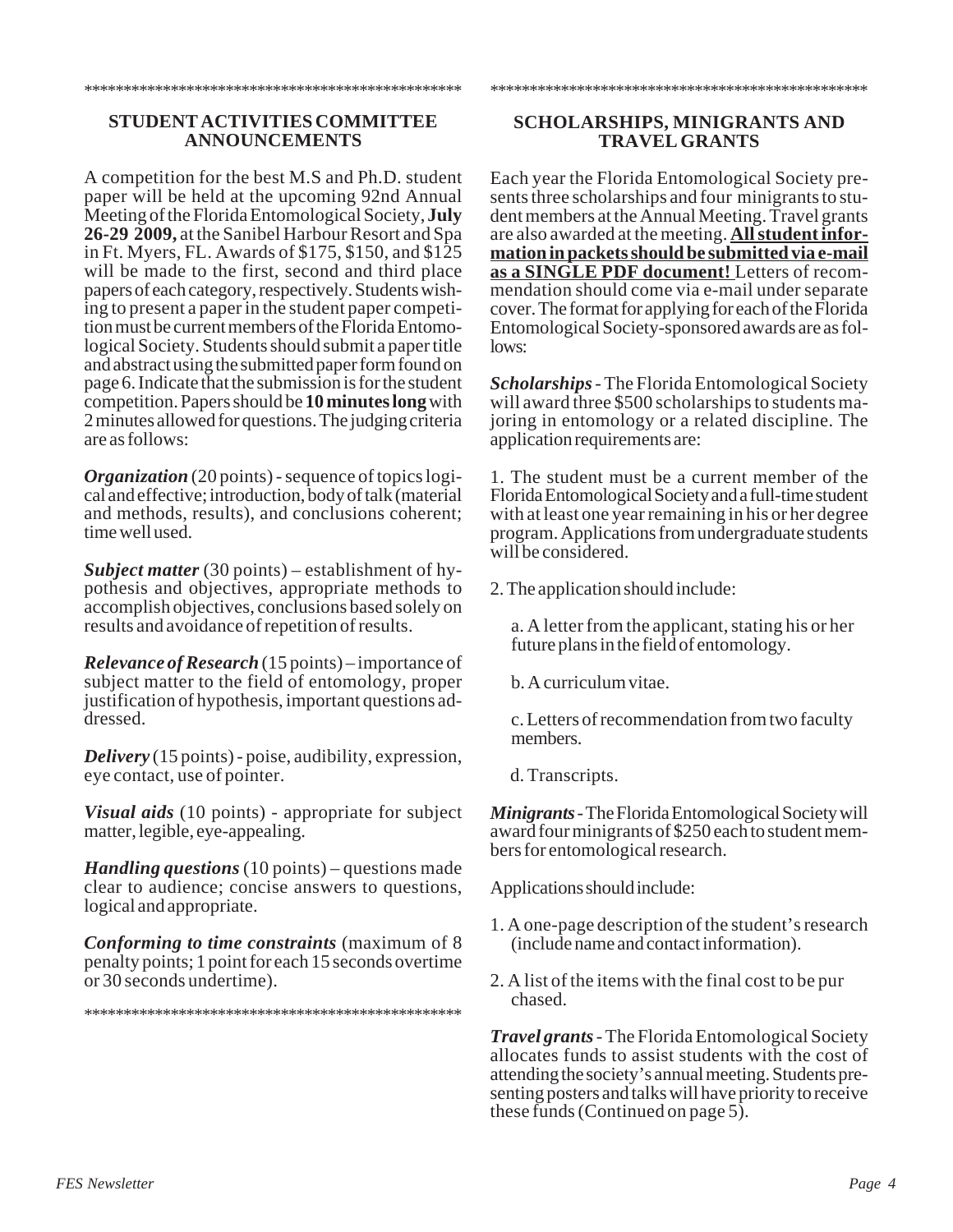#### \*\*\*\*\*\*\*\*\*\*\*\*\*\*\*\*\*\*\*\*\*\*\*\*\*\*\*\*\*\*\*\*\*\*\*\*\*\*\*\*\*\*\*\*\*\*\*\*

## **STUDENT ACTIVITIES COMMITTEE ANNOUNCEMENTS**

A competition for the best M.S and Ph.D. student paper will be held at the upcoming 92nd Annual Meeting of the Florida Entomological Society, **July 26-29 2009,** at the Sanibel Harbour Resort and Spa in Ft. Myers, FL. Awards of \$175, \$150, and \$125 will be made to the first, second and third place papers of each category, respectively. Students wishing to present a paper in the student paper competition must be current members of the Florida Entomological Society. Students should submit a paper title and abstract using the submitted paper form found on page 6. Indicate that the submission is for the student competition. Papers should be **10 minutes long** with 2 minutes allowed for questions. The judging criteria are as follows:

*Organization* (20 points) - sequence of topics logical and effective; introduction, body of talk (material and methods, results), and conclusions coherent; time well used.

*Subject matter* (30 points) – establishment of hypothesis and objectives, appropriate methods to accomplish objectives, conclusions based solely on results and avoidance of repetition of results.

*Relevance of Research* (15 points) – importance of subject matter to the field of entomology, proper justification of hypothesis, important questions addressed.

*Delivery* (15 points) - poise, audibility, expression, eye contact, use of pointer.

*Visual aids* (10 points) - appropriate for subject matter, legible, eye-appealing.

*Handling questions* (10 points) – questions made clear to audience; concise answers to questions, logical and appropriate.

*Conforming to time constraints* (maximum of 8 penalty points; 1 point for each 15 seconds overtime or 30 seconds undertime).

\*\*\*\*\*\*\*\*\*\*\*\*\*\*\*\*\*\*\*\*\*\*\*\*\*\*\*\*\*\*\*\*\*\*\*\*\*\*\*\*\*\*\*\*\*\*\*\*

# **SCHOLARSHIPS, MINIGRANTS AND TRAVEL GRANTS**

\*\*\*\*\*\*\*\*\*\*\*\*\*\*\*\*\*\*\*\*\*\*\*\*\*\*\*\*\*\*\*\*\*\*\*\*\*\*\*\*\*\*\*\*\*\*\*\*

Each year the Florida Entomological Society presents three scholarships and four minigrants to student members at the Annual Meeting. Travel grants are also awarded at the meeting. **All student information in packets should be submitted via e-mail as a SINGLE PDF document!** Letters of recommendation should come via e-mail under separate cover. The format for applying for each of the Florida Entomological Society-sponsored awards are as follows:

*Scholarships* - The Florida Entomological Society will award three \$500 scholarships to students majoring in entomology or a related discipline. The application requirements are:

1. The student must be a current member of the Florida Entomological Society and a full-time student with at least one year remaining in his or her degree program. Applications from undergraduate students will be considered.

2. The application should include:

a. A letter from the applicant, stating his or her future plans in the field of entomology.

b. A curriculum vitae.

c. Letters of recommendation from two faculty members.

d. Transcripts.

*Minigrants* - The Florida Entomological Society will award four minigrants of \$250 each to student members for entomological research.

Applications should include:

- 1. A one-page description of the student's research (include name and contact information).
- 2. A list of the items with the final cost to be pur chased.

*Travel grants* - The Florida Entomological Society allocates funds to assist students with the cost of attending the society's annual meeting. Students presenting posters and talks will have priority to receive these funds (Continued on page 5).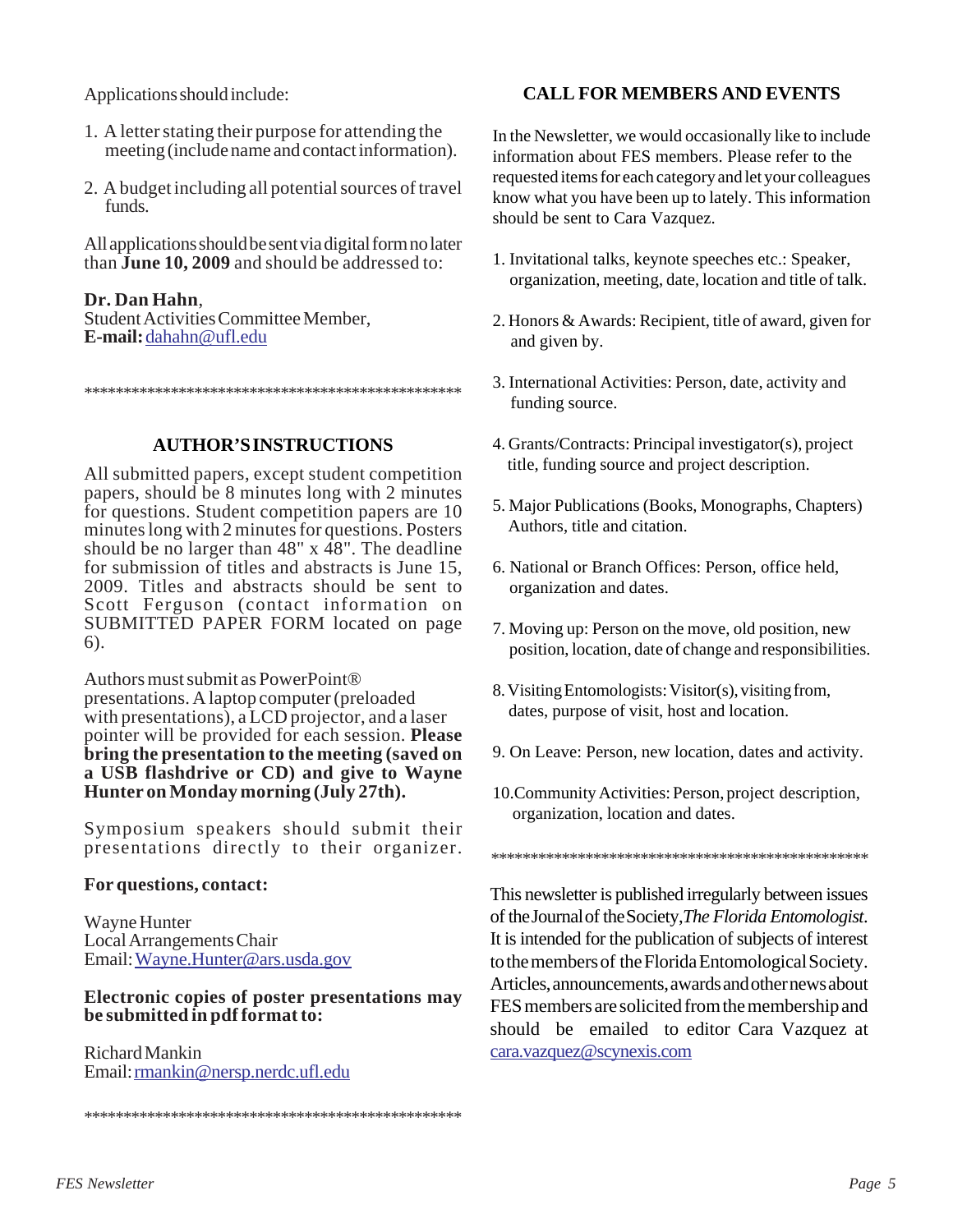Applications should include:

- 1. A letter stating their purpose for attending the meeting (include name and contact information).
- 2. A budget including all potential sources of travel funds.

All applications should be sent via digital form no later than **June 10, 2009** and should be addressed to:

# **Dr. Dan Hahn**,

Student Activities Committee Member, **E-mail:** dahahn@ufl.edu

\*\*\*\*\*\*\*\*\*\*\*\*\*\*\*\*\*\*\*\*\*\*\*\*\*\*\*\*\*\*\*\*\*\*\*\*\*\*\*\*\*\*\*\*\*\*\*\*

# **AUTHOR'S INSTRUCTIONS**

All submitted papers, except student competition papers, should be 8 minutes long with 2 minutes for questions. Student competition papers are 10 minutes long with 2 minutes for questions. Posters should be no larger than  $48"$  x  $48"$ . The deadline for submission of titles and abstracts is June 15, 2009. Titles and abstracts should be sent to Scott Ferguson (contact information on SUBMITTED PAPER FORM located on page 6).

Authors must submit as PowerPoint® presentations. A laptop computer (preloaded with presentations), a LCD projector, and a laser pointer will be provided for each session. **Please bring the presentation to the meeting (saved on a USB flashdrive or CD) and give to Wayne Hunter on Monday morning (July 27th).**

Symposium speakers should submit their presentations directly to their organizer.

# **For questions, contact:**

Wayne Hunter Local Arrangements Chair Email: Wayne.Hunter@ars.usda.gov

# **Electronic copies of poster presentations may be submitted in pdf format to:**

\*\*\*\*\*\*\*\*\*\*\*\*\*\*\*\*\*\*\*\*\*\*\*\*\*\*\*\*\*\*\*\*\*\*\*\*\*\*\*\*\*\*\*\*\*\*\*\*

Richard Mankin Email: rmankin@nersp.nerdc.ufl.edu

# **CALL FOR MEMBERS AND EVENTS**

In the Newsletter, we would occasionally like to include information about FES members. Please refer to the requested items for each category and let your colleagues know what you have been up to lately. This information should be sent to Cara Vazquez.

- 1. Invitational talks, keynote speeches etc.: Speaker, organization, meeting, date, location and title of talk.
- 2. Honors & Awards: Recipient, title of award, given for and given by.
- 3. International Activities: Person, date, activity and funding source.
- 4. Grants/Contracts: Principal investigator(s), project title, funding source and project description.
- 5. Major Publications (Books, Monographs, Chapters) Authors, title and citation.
- 6. National or Branch Offices: Person, office held, organization and dates.
- 7. Moving up: Person on the move, old position, new position, location, date of change and responsibilities.
- 8. Visiting Entomologists: Visitor(s), visiting from, dates, purpose of visit, host and location.
- 9. On Leave: Person, new location, dates and activity.
- 10.Community Activities: Person, project description, organization, location and dates.

\*\*\*\*\*\*\*\*\*\*\*\*\*\*\*\*\*\*\*\*\*\*\*\*\*\*\*\*\*\*\*\*\*\*\*\*\*\*\*\*\*\*\*\*\*\*\*\*

This newsletter is published irregularly between issues of the Journal of the Society,*The Florida Entomologist*. It is intended for the publication of subjects of interest to the members of the Florida Entomological Society. Articles, announcements, awards and other news about FES members are solicited from the membership and should be emailed to editor Cara Vazquez at cara.vazquez@scynexis.com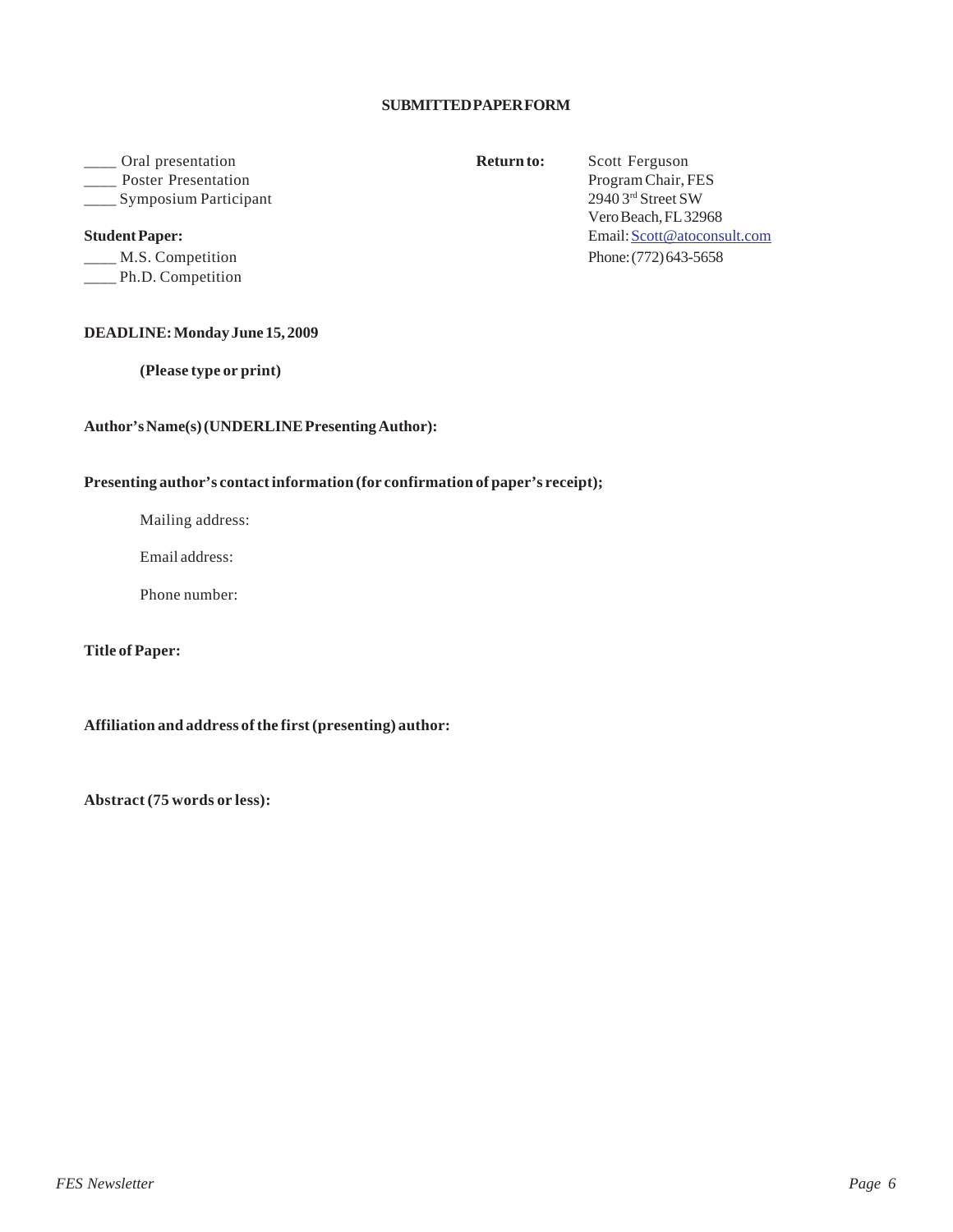# **SUBMITTED PAPER FORM**

# \_\_\_\_ Oral presentation **Return to:** Scott Ferguson **Note:** Presentation Program Chair, FES

\_\_\_\_ M.S. Competition Phone: (772) 643-5658 \_\_\_\_ Ph.D. Competition

## **DEADLINE: Monday June 15, 2009**

**(Please type or print)**

## **Author's Name(s) (UNDERLINE Presenting Author):**

## **Presenting author's contact information (for confirmation of paper's receipt);**

Mailing address:

Email address:

Phone number:

**Title of Paper:**

**Affiliation and address of the first (presenting) author:**

**Abstract (75 words or less):**

\_\_\_\_ Symposium Participant 2940 3rd Street SW Vero Beach, FL 32968 **Student Paper:** Email: Scott @atoconsult.com